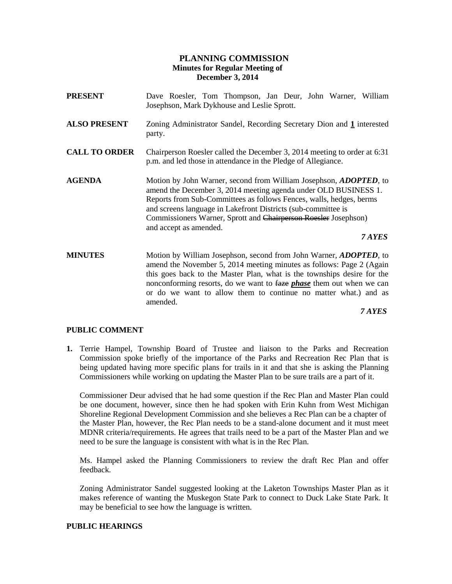# **PLANNING COMMISSION Minutes for Regular Meeting of December 3, 2014**

- **PRESENT** Dave Roesler, Tom Thompson, Jan Deur, John Warner, William Josephson, Mark Dykhouse and Leslie Sprott.
- **ALSO PRESENT** Zoning Administrator Sandel, Recording Secretary Dion and **1** interested party.
- **CALL TO ORDER** Chairperson Roesler called the December 3, 2014 meeting to order at 6:31 p.m. and led those in attendance in the Pledge of Allegiance.
- **AGENDA** Motion by John Warner, second from William Josephson, *ADOPTED*, to amend the December 3, 2014 meeting agenda under OLD BUSINESS 1. Reports from Sub-Committees as follows Fences, walls, hedges, berms and screens language in Lakefront Districts (sub-committee is Commissioners Warner, Sprott and Chairperson Roesler Josephson) and accept as amended.

*7 AYES*

**MINUTES** Motion by William Josephson, second from John Warner, *ADOPTED*, to amend the November 5, 2014 meeting minutes as follows: Page 2 (Again this goes back to the Master Plan, what is the townships desire for the nonconforming resorts, do we want to faze *phase* them out when we can or do we want to allow them to continue no matter what.) and as amended.

*7 AYES*

#### **PUBLIC COMMENT**

**1.** Terrie Hampel, Township Board of Trustee and liaison to the Parks and Recreation Commission spoke briefly of the importance of the Parks and Recreation Rec Plan that is being updated having more specific plans for trails in it and that she is asking the Planning Commissioners while working on updating the Master Plan to be sure trails are a part of it.

Commissioner Deur advised that he had some question if the Rec Plan and Master Plan could be one document, however, since then he had spoken with Erin Kuhn from West Michigan Shoreline Regional Development Commission and she believes a Rec Plan can be a chapter of the Master Plan, however, the Rec Plan needs to be a stand-alone document and it must meet MDNR criteria/requirements. He agrees that trails need to be a part of the Master Plan and we need to be sure the language is consistent with what is in the Rec Plan.

Ms. Hampel asked the Planning Commissioners to review the draft Rec Plan and offer feedback.

Zoning Administrator Sandel suggested looking at the Laketon Townships Master Plan as it makes reference of wanting the Muskegon State Park to connect to Duck Lake State Park. It may be beneficial to see how the language is written.

#### **PUBLIC HEARINGS**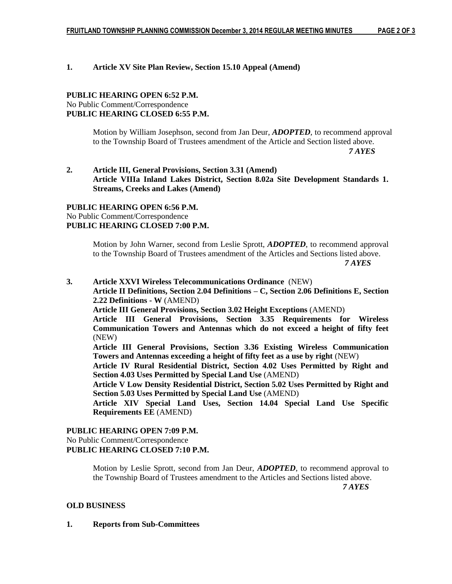#### **1. Article XV Site Plan Review, Section 15.10 Appeal (Amend)**

## **PUBLIC HEARING OPEN 6:52 P.M.** No Public Comment/Correspondence **PUBLIC HEARING CLOSED 6:55 P.M.**

Motion by William Josephson, second from Jan Deur, *ADOPTED*, to recommend approval to the Township Board of Trustees amendment of the Article and Section listed above.  *7 AYES*

# **2. Article III, General Provisions, Section 3.31 (Amend) Article VIIIa Inland Lakes District, Section 8.02a Site Development Standards 1. Streams, Creeks and Lakes (Amend)**

# **PUBLIC HEARING OPEN 6:56 P.M.** No Public Comment/Correspondence **PUBLIC HEARING CLOSED 7:00 P.M.**

Motion by John Warner, second from Leslie Sprott, *ADOPTED*, to recommend approval to the Township Board of Trustees amendment of the Articles and Sections listed above.  *7 AYES*

# **3. Article XXVI Wireless Telecommunications Ordinance** (NEW) **Article II Definitions, Section 2.04 Definitions – C, Section 2.06 Definitions E, Section 2.22 Definitions - W** (AMEND)

**Article III General Provisions, Section 3.02 Height Exceptions** (AMEND)

**Article III General Provisions, Section 3.35 Requirements for Wireless Communication Towers and Antennas which do not exceed a height of fifty feet**  (NEW)

**Article III General Provisions, Section 3.36 Existing Wireless Communication Towers and Antennas exceeding a height of fifty feet as a use by right** (NEW)

**Article IV Rural Residential District, Section 4.02 Uses Permitted by Right and Section 4.03 Uses Permitted by Special Land Use** (AMEND)

**Article V Low Density Residential District, Section 5.02 Uses Permitted by Right and Section 5.03 Uses Permitted by Special Land Use** (AMEND)

**Article XIV Special Land Uses, Section 14.04 Special Land Use Specific Requirements EE** (AMEND)

## **PUBLIC HEARING OPEN 7:09 P.M.**

No Public Comment/Correspondence

**PUBLIC HEARING CLOSED 7:10 P.M.**

Motion by Leslie Sprott, second from Jan Deur, *ADOPTED*, to recommend approval to the Township Board of Trustees amendment to the Articles and Sections listed above.

 *7 AYES*

## **OLD BUSINESS**

#### **1. Reports from Sub-Committees**